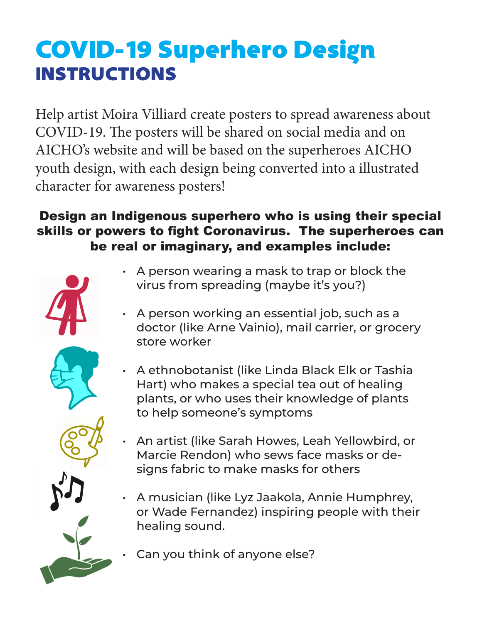## COVID-19 Superhero Design INSTRUCTIONS

Help artist Moira Villiard create posters to spread awareness about COVID-19. The posters will be shared on social media and on AICHO's website and will be based on the superheroes AICHO youth design, with each design being converted into a illustrated character for awareness posters!

## Design an Indigenous superhero who is using their special skills or powers to fight Coronavirus. The superheroes can be real or imaginary, and examples include:



- A person wearing a mask to trap or block the virus from spreading (maybe it's you?)
- A person working an essential job, such as a doctor (like Arne Vainio), mail carrier, or grocery store worker
- A ethnobotanist (like Linda Black Elk or Tashia Hart) who makes a special tea out of healing plants, or who uses their knowledge of plants to help someone's symptoms
- An artist (like Sarah Howes, Leah Yellowbird, or Marcie Rendon) who sews face masks or designs fabric to make masks for others
- A musician (like Lyz Jaakola, Annie Humphrey, or Wade Fernandez) inspiring people with their healing sound.
- Can you think of anyone else?